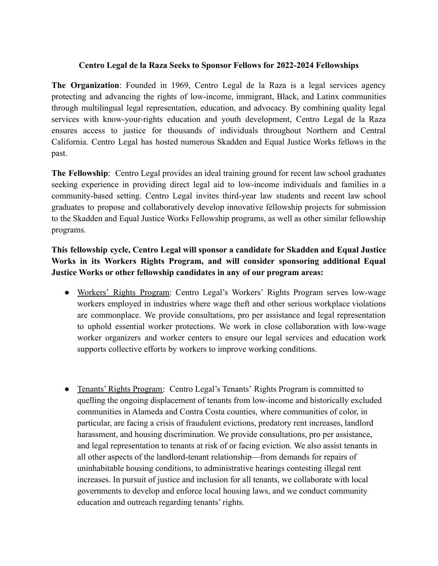## **Centro Legal de la Raza Seeks to Sponsor Fellows for 2022-2024 Fellowships**

**The Organization**: Founded in 1969, Centro Legal de la Raza is a legal services agency protecting and advancing the rights of low-income, immigrant, Black, and Latinx communities through multilingual legal representation, education, and advocacy. By combining quality legal services with know-your-rights education and youth development, Centro Legal de la Raza ensures access to justice for thousands of individuals throughout Northern and Central California. Centro Legal has hosted numerous Skadden and Equal Justice Works fellows in the past.

**The Fellowship**: Centro Legal provides an ideal training ground for recent law school graduates seeking experience in providing direct legal aid to low-income individuals and families in a community-based setting. Centro Legal invites third-year law students and recent law school graduates to propose and collaboratively develop innovative fellowship projects for submission to the Skadden and Equal Justice Works Fellowship programs, as well as other similar fellowship programs.

## **This fellowship cycle, Centro Legal will sponsor a candidate for Skadden and Equal Justice Works in its Workers Rights Program, and will consider sponsoring additional Equal Justice Works or other fellowship candidates in any of our program areas:**

- Workers' Rights Program: Centro Legal's Workers' Rights Program serves low-wage workers employed in industries where wage theft and other serious workplace violations are commonplace. We provide consultations, pro per assistance and legal representation to uphold essential worker protections. We work in close collaboration with low-wage worker organizers and worker centers to ensure our legal services and education work supports collective efforts by workers to improve working conditions.
- Tenants' Rights Program: Centro Legal's Tenants' Rights Program is committed to quelling the ongoing displacement of tenants from low-income and historically excluded communities in Alameda and Contra Costa counties, where communities of color, in particular, are facing a crisis of fraudulent evictions, predatory rent increases, landlord harassment, and housing discrimination. We provide consultations, pro per assistance, and legal representation to tenants at risk of or facing eviction. We also assist tenants in all other aspects of the landlord-tenant relationship—from demands for repairs of uninhabitable housing conditions, to administrative hearings contesting illegal rent increases. In pursuit of justice and inclusion for all tenants, we collaborate with local governments to develop and enforce local housing laws, and we conduct community education and outreach regarding tenants' rights.